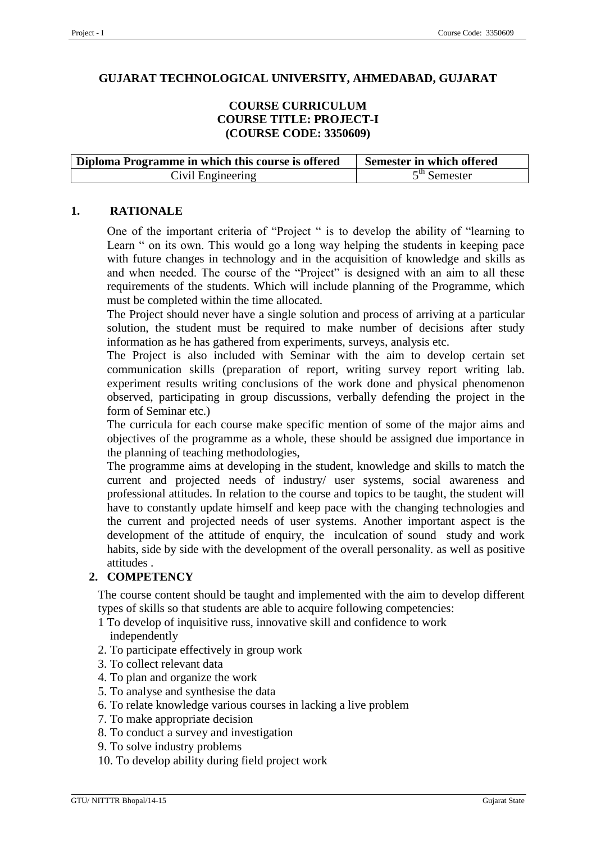#### **GUJARAT TECHNOLOGICAL UNIVERSITY, AHMEDABAD, GUJARAT**

#### **COURSE CURRICULUM COURSE TITLE: PROJECT-I (COURSE CODE: 3350609)**

| Diploma Programme in which this course is offered | Semester in which offered |  |  |
|---------------------------------------------------|---------------------------|--|--|
| Civil Engineering                                 | $5th$ Semester            |  |  |

#### **1. RATIONALE**

One of the important criteria of "Project " is to develop the ability of "learning to Learn " on its own. This would go a long way helping the students in keeping pace with future changes in technology and in the acquisition of knowledge and skills as and when needed. The course of the "Project" is designed with an aim to all these requirements of the students. Which will include planning of the Programme, which must be completed within the time allocated.

The Project should never have a single solution and process of arriving at a particular solution, the student must be required to make number of decisions after study information as he has gathered from experiments, surveys, analysis etc.

The Project is also included with Seminar with the aim to develop certain set communication skills (preparation of report, writing survey report writing lab. experiment results writing conclusions of the work done and physical phenomenon observed, participating in group discussions, verbally defending the project in the form of Seminar etc.)

The curricula for each course make specific mention of some of the major aims and objectives of the programme as a whole, these should be assigned due importance in the planning of teaching methodologies,

The programme aims at developing in the student, knowledge and skills to match the current and projected needs of industry/ user systems, social awareness and professional attitudes. In relation to the course and topics to be taught, the student will have to constantly update himself and keep pace with the changing technologies and the current and projected needs of user systems. Another important aspect is the development of the attitude of enquiry, the inculcation of sound study and work habits, side by side with the development of the overall personality. as well as positive attitudes .

#### **2. COMPETENCY**

The course content should be taught and implemented with the aim to develop different types of skills so that students are able to acquire following competencies:

- 1 To develop of inquisitive russ, innovative skill and confidence to work independently
- 2. To participate effectively in group work
- 3. To collect relevant data
- 4. To plan and organize the work
- 5. To analyse and synthesise the data
- 6. To relate knowledge various courses in lacking a live problem
- 7. To make appropriate decision
- 8. To conduct a survey and investigation
- 9. To solve industry problems
- 10. To develop ability during field project work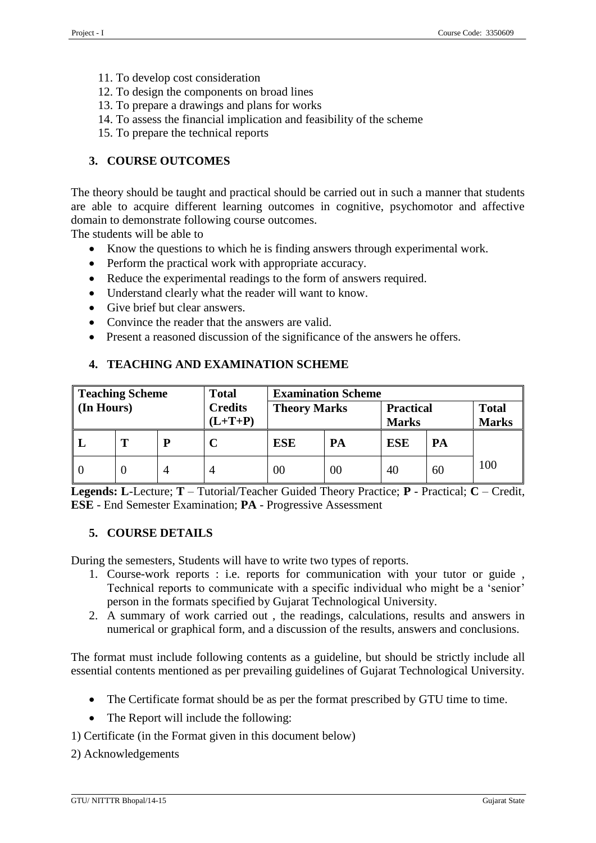- 11. To develop cost consideration
- 12. To design the components on broad lines
- 13. To prepare a drawings and plans for works
- 14. To assess the financial implication and feasibility of the scheme
- 15. To prepare the technical reports

## **3. COURSE OUTCOMES**

The theory should be taught and practical should be carried out in such a manner that students are able to acquire different learning outcomes in cognitive, psychomotor and affective domain to demonstrate following course outcomes.

The students will be able to

- Know the questions to which he is finding answers through experimental work.
- Perform the practical work with appropriate accuracy.
- Reduce the experimental readings to the form of answers required.
- Understand clearly what the reader will want to know.
- Give brief but clear answers.
- Convince the reader that the answers are valid.
- Present a reasoned discussion of the significance of the answers he offers.

## **4. TEACHING AND EXAMINATION SCHEME**

| <b>Teaching Scheme</b> |  | <b>Total</b>                | <b>Examination Scheme</b> |            |                                  |            |                              |     |
|------------------------|--|-----------------------------|---------------------------|------------|----------------------------------|------------|------------------------------|-----|
| (In Hours)             |  | <b>Credits</b><br>$(L+T+P)$ | <b>Theory Marks</b>       |            | <b>Practical</b><br><b>Marks</b> |            | <b>Total</b><br><b>Marks</b> |     |
|                        |  | D                           |                           | <b>ESE</b> | PA                               | <b>ESE</b> | PA                           |     |
| $\Omega$               |  |                             |                           | 00         | 00                               | 40         | 60                           | 100 |

**Legends: L**-Lecture; **T** – Tutorial/Teacher Guided Theory Practice; **P** - Practical; **C** – Credit, **ESE** - End Semester Examination; **PA** - Progressive Assessment

#### **5. COURSE DETAILS**

During the semesters, Students will have to write two types of reports.

- 1. Course-work reports : i.e. reports for communication with your tutor or guide , Technical reports to communicate with a specific individual who might be a 'senior' person in the formats specified by Gujarat Technological University.
- 2. A summary of work carried out , the readings, calculations, results and answers in numerical or graphical form, and a discussion of the results, answers and conclusions.

The format must include following contents as a guideline, but should be strictly include all essential contents mentioned as per prevailing guidelines of Gujarat Technological University.

- The Certificate format should be as per the format prescribed by GTU time to time.
- The Report will include the following:
- 1) Certificate (in the Format given in this document below)
- 2) Acknowledgements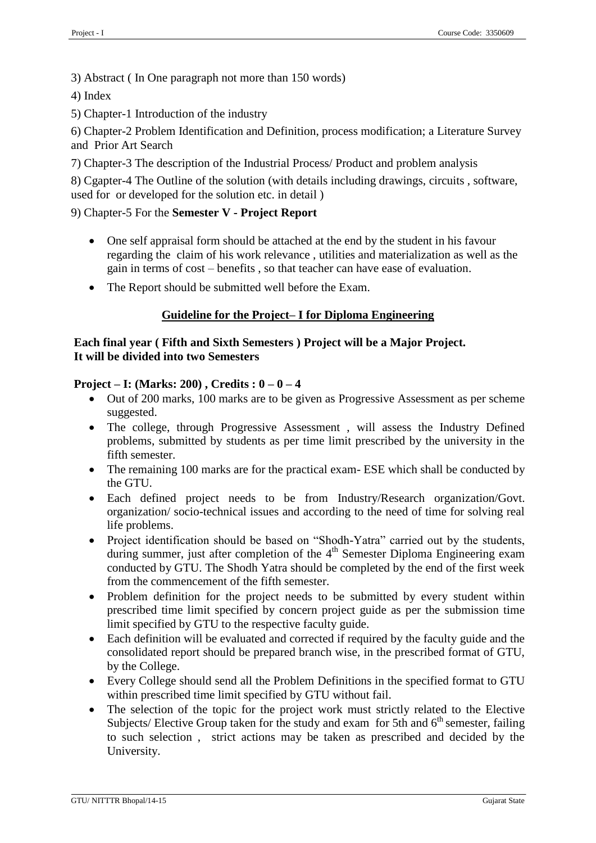3) Abstract ( In One paragraph not more than 150 words)

4) Index

5) Chapter-1 Introduction of the industry

6) Chapter-2 Problem Identification and Definition, process modification; a Literature Survey and Prior Art Search

7) Chapter-3 The description of the Industrial Process/ Product and problem analysis

8) Cgapter-4 The Outline of the solution (with details including drawings, circuits , software, used for or developed for the solution etc. in detail )

### 9) Chapter-5 For the **Semester V - Project Report**

- One self appraisal form should be attached at the end by the student in his favour regarding the claim of his work relevance , utilities and materialization as well as the gain in terms of cost – benefits , so that teacher can have ease of evaluation.
- The Report should be submitted well before the Exam.

## **Guideline for the Project– I for Diploma Engineering**

#### **Each final year ( Fifth and Sixth Semesters ) Project will be a Major Project. It will be divided into two Semesters**

#### **Project – I: (Marks: 200) , Credits : 0 – 0 – 4**

- Out of 200 marks, 100 marks are to be given as Progressive Assessment as per scheme suggested.
- The college, through Progressive Assessment, will assess the Industry Defined problems, submitted by students as per time limit prescribed by the university in the fifth semester.
- The remaining 100 marks are for the practical exam-ESE which shall be conducted by the GTU.
- Each defined project needs to be from Industry/Research organization/Govt. organization/ socio-technical issues and according to the need of time for solving real life problems.
- Project identification should be based on "Shodh-Yatra" carried out by the students, during summer, just after completion of the 4<sup>th</sup> Semester Diploma Engineering exam conducted by GTU. The Shodh Yatra should be completed by the end of the first week from the commencement of the fifth semester.
- Problem definition for the project needs to be submitted by every student within prescribed time limit specified by concern project guide as per the submission time limit specified by GTU to the respective faculty guide.
- Each definition will be evaluated and corrected if required by the faculty guide and the consolidated report should be prepared branch wise, in the prescribed format of GTU, by the College.
- Every College should send all the Problem Definitions in the specified format to GTU within prescribed time limit specified by GTU without fail.
- The selection of the topic for the project work must strictly related to the Elective Subjects/ Elective Group taken for the study and exam for 5th and  $6<sup>th</sup>$  semester, failing to such selection , strict actions may be taken as prescribed and decided by the University.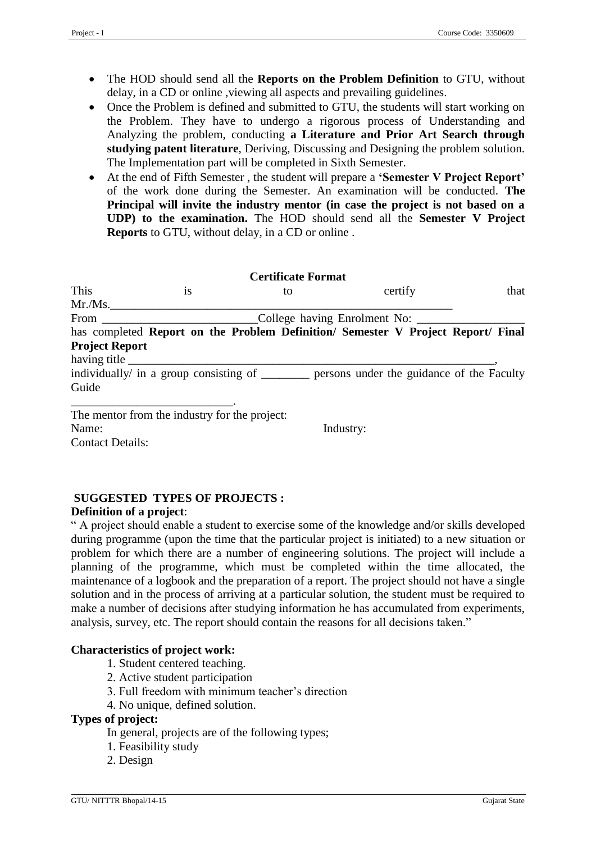- The HOD should send all the **Reports on the Problem Definition** to GTU, without delay, in a CD or online ,viewing all aspects and prevailing guidelines.
- Once the Problem is defined and submitted to GTU, the students will start working on the Problem. They have to undergo a rigorous process of Understanding and Analyzing the problem, conducting **a Literature and Prior Art Search through studying patent literature**, Deriving, Discussing and Designing the problem solution. The Implementation part will be completed in Sixth Semester.
- At the end of Fifth Semester , the student will prepare a **'Semester V Project Report'**  of the work done during the Semester. An examination will be conducted. **The Principal will invite the industry mentor (in case the project is not based on a UDP) to the examination.** The HOD should send all the **Semester V Project Reports** to GTU, without delay, in a CD or online .

| <b>Certificate Format</b> |                                               |    |                                                                                            |      |  |
|---------------------------|-----------------------------------------------|----|--------------------------------------------------------------------------------------------|------|--|
| This                      | <sup>is</sup>                                 | to | certify                                                                                    | that |  |
| Mr./Ms.                   |                                               |    |                                                                                            |      |  |
|                           |                                               |    | College having Enrolment No:                                                               |      |  |
|                           |                                               |    | has completed Report on the Problem Definition/ Semester V Project Report/ Final           |      |  |
| <b>Project Report</b>     |                                               |    |                                                                                            |      |  |
|                           |                                               |    |                                                                                            |      |  |
|                           |                                               |    | individually/ in a group consisting of _________ persons under the guidance of the Faculty |      |  |
| Guide                     |                                               |    |                                                                                            |      |  |
|                           | The mentor from the industry for the project: |    |                                                                                            |      |  |
| Name:                     |                                               |    | Industry:                                                                                  |      |  |
| <b>Contact Details:</b>   |                                               |    |                                                                                            |      |  |

# **SUGGESTED TYPES OF PROJECTS :**

#### **Definition of a project**:

" A project should enable a student to exercise some of the knowledge and/or skills developed during programme (upon the time that the particular project is initiated) to a new situation or problem for which there are a number of engineering solutions. The project will include a planning of the programme, which must be completed within the time allocated, the maintenance of a logbook and the preparation of a report. The project should not have a single solution and in the process of arriving at a particular solution, the student must be required to make a number of decisions after studying information he has accumulated from experiments, analysis, survey, etc. The report should contain the reasons for all decisions taken."

## **Characteristics of project work:**

- 1. Student centered teaching.
- 2. Active student participation
- 3. Full freedom with minimum teacher's direction
- 4. No unique, defined solution.

### **Types of project:**

- In general, projects are of the following types;
- 1. Feasibility study
- 2. Design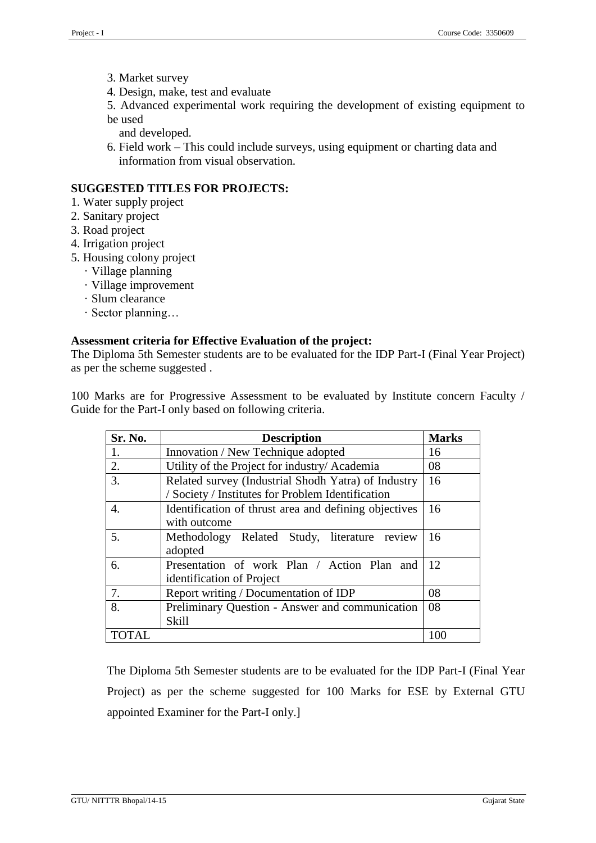3. Market survey

4. Design, make, test and evaluate

5. Advanced experimental work requiring the development of existing equipment to be used

and developed.

6. Field work – This could include surveys, using equipment or charting data and information from visual observation.

## **SUGGESTED TITLES FOR PROJECTS:**

- 1. Water supply project
- 2. Sanitary project
- 3. Road project
- 4. Irrigation project
- 5. Housing colony project
	- · Village planning
	- · Village improvement
	- · Slum clearance
	- · Sector planning…

### **Assessment criteria for Effective Evaluation of the project:**

The Diploma 5th Semester students are to be evaluated for the IDP Part-I (Final Year Project) as per the scheme suggested .

100 Marks are for Progressive Assessment to be evaluated by Institute concern Faculty / Guide for the Part-I only based on following criteria.

| Sr. No.          | <b>Description</b>                                    | <b>Marks</b> |
|------------------|-------------------------------------------------------|--------------|
| 1.               | Innovation / New Technique adopted                    | 16           |
| 2.               | Utility of the Project for industry/ Academia         | 08           |
| 3.               | Related survey (Industrial Shodh Yatra) of Industry   | 16           |
|                  | / Society / Institutes for Problem Identification     |              |
| $\overline{4}$ . | Identification of thrust area and defining objectives | 16           |
|                  | with outcome                                          |              |
| 5.               | Methodology Related Study, literature review          | 16           |
|                  | adopted                                               |              |
| 6.               | Presentation of work Plan / Action Plan and           | 12           |
|                  | identification of Project                             |              |
| 7.               | Report writing / Documentation of IDP                 | 08           |
| 8.               | Preliminary Question - Answer and communication       | 08           |
|                  | <b>Skill</b>                                          |              |
|                  |                                                       | 100          |

 The Diploma 5th Semester students are to be evaluated for the IDP Part-I (Final Year Project) as per the scheme suggested for 100 Marks for ESE by External GTU appointed Examiner for the Part-I only.]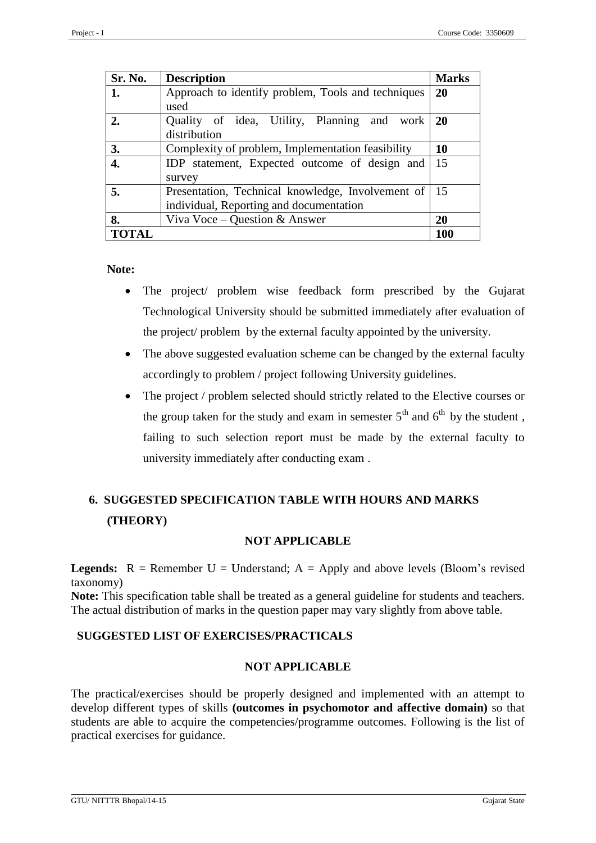| Sr. No.      | <b>Description</b>                                                                           | <b>Marks</b> |
|--------------|----------------------------------------------------------------------------------------------|--------------|
| 1.           | Approach to identify problem, Tools and techniques                                           |              |
|              | used                                                                                         |              |
| 2.           | Quality of idea, Utility, Planning<br>and work<br>distribution                               | <b>20</b>    |
| 3.           | Complexity of problem, Implementation feasibility                                            | 10           |
| 4.           | IDP statement, Expected outcome of design and $\vert$ 15<br>survey                           |              |
| 5.           | Presentation, Technical knowledge, Involvement of<br>individual, Reporting and documentation | -15          |
| 8.           | Viva Voce – Question & Answer                                                                |              |
| <b>TOTAL</b> |                                                                                              | 100          |

**Note:**

- The project/ problem wise feedback form prescribed by the Gujarat Technological University should be submitted immediately after evaluation of the project/ problem by the external faculty appointed by the university.
- The above suggested evaluation scheme can be changed by the external faculty accordingly to problem / project following University guidelines.
- The project / problem selected should strictly related to the Elective courses or the group taken for the study and exam in semester  $5<sup>th</sup>$  and  $6<sup>th</sup>$  by the student. failing to such selection report must be made by the external faculty to university immediately after conducting exam .

# **6. SUGGESTED SPECIFICATION TABLE WITH HOURS AND MARKS (THEORY)**

#### **NOT APPLICABLE**

**Legends:**  $R =$  Remember  $U =$  Understand;  $A =$  Apply and above levels (Bloom's revised taxonomy)

**Note:** This specification table shall be treated as a general guideline for students and teachers. The actual distribution of marks in the question paper may vary slightly from above table.

#### **SUGGESTED LIST OF EXERCISES/PRACTICALS**

#### **NOT APPLICABLE**

The practical/exercises should be properly designed and implemented with an attempt to develop different types of skills **(outcomes in psychomotor and affective domain)** so that students are able to acquire the competencies/programme outcomes. Following is the list of practical exercises for guidance.